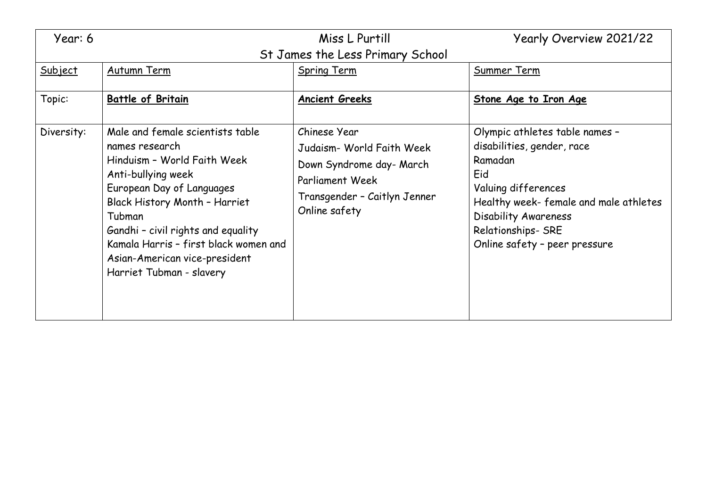| Year: 6                          |                                                                                                                                                                                                                                                                                                                             | Miss L Purtill                                                                                                                                   | Yearly Overview 2021/22                                                                                                                                                                                                       |  |  |
|----------------------------------|-----------------------------------------------------------------------------------------------------------------------------------------------------------------------------------------------------------------------------------------------------------------------------------------------------------------------------|--------------------------------------------------------------------------------------------------------------------------------------------------|-------------------------------------------------------------------------------------------------------------------------------------------------------------------------------------------------------------------------------|--|--|
| St James the Less Primary School |                                                                                                                                                                                                                                                                                                                             |                                                                                                                                                  |                                                                                                                                                                                                                               |  |  |
| Subject                          | Autumn Term                                                                                                                                                                                                                                                                                                                 | <b>Spring Term</b>                                                                                                                               | Summer Term                                                                                                                                                                                                                   |  |  |
| Topic:                           | <b>Battle of Britain</b>                                                                                                                                                                                                                                                                                                    | <b>Ancient Greeks</b>                                                                                                                            | Stone Age to Iron Age                                                                                                                                                                                                         |  |  |
| Diversity:                       | Male and female scientists table<br>names research<br>Hinduism - World Faith Week<br>Anti-bullying week<br>European Day of Languages<br>Black History Month - Harriet<br>Tubman<br>Gandhi - civil rights and equality<br>Kamala Harris - first black women and<br>Asian-American vice-president<br>Harriet Tubman - slavery | Chinese Year<br>Judaism- World Faith Week<br>Down Syndrome day- March<br><b>Parliament Week</b><br>Transgender - Caitlyn Jenner<br>Online safety | Olympic athletes table names -<br>disabilities, gender, race<br>Ramadan<br>Eid<br>Valuing differences<br>Healthy week-female and male athletes<br>Disability Awareness<br>Relationships- SRE<br>Online safety - peer pressure |  |  |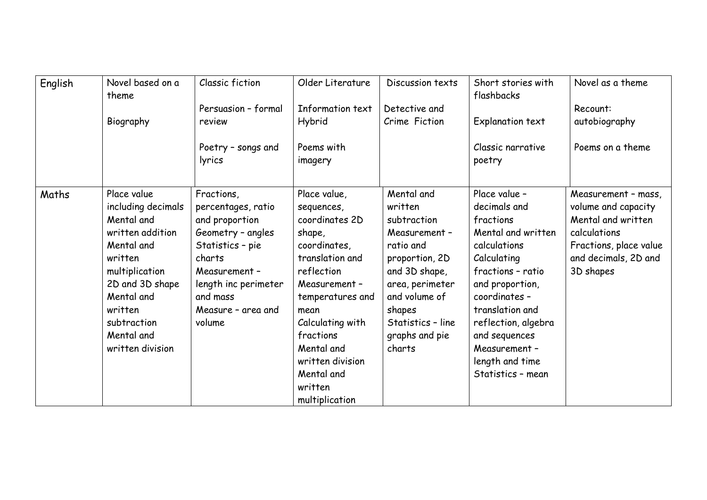| English | Novel based on a<br>theme                                                                                                                                                                                   | Classic fiction<br>Persuasion - formal                                                                                                                                                     | Older Literature<br>Information text                                                                                                                                                                                                                               | Discussion texts<br>Detective and                                                                                                                                                                    | Short stories with<br>flashbacks                                                                                                                                                                                                                                             | Novel as a theme<br>Recount:                                                                                                                    |
|---------|-------------------------------------------------------------------------------------------------------------------------------------------------------------------------------------------------------------|--------------------------------------------------------------------------------------------------------------------------------------------------------------------------------------------|--------------------------------------------------------------------------------------------------------------------------------------------------------------------------------------------------------------------------------------------------------------------|------------------------------------------------------------------------------------------------------------------------------------------------------------------------------------------------------|------------------------------------------------------------------------------------------------------------------------------------------------------------------------------------------------------------------------------------------------------------------------------|-------------------------------------------------------------------------------------------------------------------------------------------------|
|         | Biography                                                                                                                                                                                                   | review                                                                                                                                                                                     | Hybrid                                                                                                                                                                                                                                                             | Crime Fiction                                                                                                                                                                                        | Explanation text                                                                                                                                                                                                                                                             | autobiography                                                                                                                                   |
|         |                                                                                                                                                                                                             | Poetry - songs and<br>lyrics                                                                                                                                                               | Poems with<br>imagery                                                                                                                                                                                                                                              |                                                                                                                                                                                                      | Classic narrative<br>poetry                                                                                                                                                                                                                                                  | Poems on a theme                                                                                                                                |
| Maths   | Place value<br>including decimals<br>Mental and<br>written addition<br>Mental and<br>written<br>multiplication<br>2D and 3D shape<br>Mental and<br>written<br>subtraction<br>Mental and<br>written division | Fractions,<br>percentages, ratio<br>and proportion<br>Geometry - angles<br>Statistics - pie<br>charts<br>Measurement -<br>length inc perimeter<br>and mass<br>Measure - area and<br>volume | Place value,<br>sequences,<br>coordinates 2D<br>shape,<br>coordinates,<br>translation and<br>reflection<br>Measurement -<br>temperatures and<br>mean<br>Calculating with<br>fractions<br>Mental and<br>written division<br>Mental and<br>written<br>multiplication | Mental and<br>written<br>subtraction<br>Measurement -<br>ratio and<br>proportion, 2D<br>and 3D shape,<br>area, perimeter<br>and volume of<br>shapes<br>Statistics - line<br>graphs and pie<br>charts | Place value -<br>decimals and<br>fractions<br>Mental and written<br>calculations<br>Calculating<br>fractions - ratio<br>and proportion,<br>coordinates -<br>translation and<br>reflection, algebra<br>and sequences<br>Measurement -<br>length and time<br>Statistics - mean | Measurement - mass,<br>volume and capacity<br>Mental and written<br>calculations<br>Fractions, place value<br>and decimals, 2D and<br>3D shapes |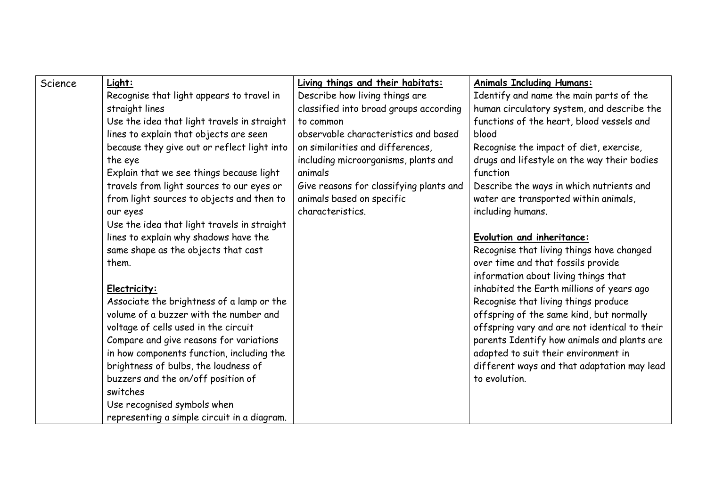| Science | Light:                                      | Living things and their habitats:       | <b>Animals Including Humans:</b>              |
|---------|---------------------------------------------|-----------------------------------------|-----------------------------------------------|
|         | Recognise that light appears to travel in   | Describe how living things are          | Identify and name the main parts of the       |
|         | straight lines                              | classified into broad groups according  | human circulatory system, and describe the    |
|         | Use the idea that light travels in straight | to common                               | functions of the heart, blood vessels and     |
|         | lines to explain that objects are seen      | observable characteristics and based    | blood                                         |
|         | because they give out or reflect light into | on similarities and differences,        | Recognise the impact of diet, exercise,       |
|         | the eye                                     | including microorganisms, plants and    | drugs and lifestyle on the way their bodies   |
|         | Explain that we see things because light    | animals                                 | function                                      |
|         | travels from light sources to our eyes or   | Give reasons for classifying plants and | Describe the ways in which nutrients and      |
|         | from light sources to objects and then to   | animals based on specific               | water are transported within animals,         |
|         | our eyes                                    | characteristics.                        | including humans.                             |
|         | Use the idea that light travels in straight |                                         |                                               |
|         | lines to explain why shadows have the       |                                         | Evolution and inheritance:                    |
|         | same shape as the objects that cast         |                                         | Recognise that living things have changed     |
|         | them.                                       |                                         | over time and that fossils provide            |
|         |                                             |                                         | information about living things that          |
|         | Electricity:                                |                                         | inhabited the Earth millions of years ago     |
|         | Associate the brightness of a lamp or the   |                                         | Recognise that living things produce          |
|         | volume of a buzzer with the number and      |                                         | offspring of the same kind, but normally      |
|         | voltage of cells used in the circuit        |                                         | offspring vary and are not identical to their |
|         | Compare and give reasons for variations     |                                         | parents Identify how animals and plants are   |
|         | in how components function, including the   |                                         | adapted to suit their environment in          |
|         | brightness of bulbs, the loudness of        |                                         | different ways and that adaptation may lead   |
|         | buzzers and the on/off position of          |                                         | to evolution.                                 |
|         | switches                                    |                                         |                                               |
|         | Use recognised symbols when                 |                                         |                                               |
|         | representing a simple circuit in a diagram. |                                         |                                               |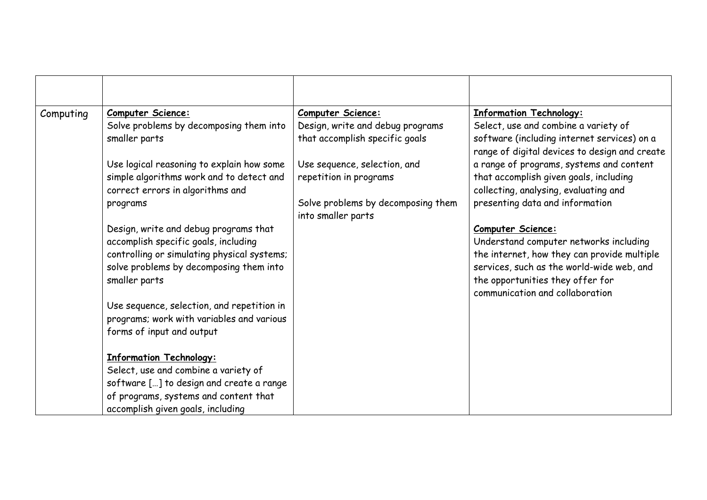| Computing | <b>Computer Science:</b>                    | <b>Computer Science:</b>                                 | <b>Information Technology:</b>                                                               |
|-----------|---------------------------------------------|----------------------------------------------------------|----------------------------------------------------------------------------------------------|
|           | Solve problems by decomposing them into     | Design, write and debug programs                         | Select, use and combine a variety of                                                         |
|           | smaller parts                               | that accomplish specific goals                           | software (including internet services) on a<br>range of digital devices to design and create |
|           | Use logical reasoning to explain how some   | Use sequence, selection, and                             | a range of programs, systems and content                                                     |
|           | simple algorithms work and to detect and    | repetition in programs                                   | that accomplish given goals, including                                                       |
|           | correct errors in algorithms and            |                                                          | collecting, analysing, evaluating and                                                        |
|           | programs                                    | Solve problems by decomposing them<br>into smaller parts | presenting data and information                                                              |
|           | Design, write and debug programs that       |                                                          | <b>Computer Science:</b>                                                                     |
|           | accomplish specific goals, including        |                                                          | Understand computer networks including                                                       |
|           | controlling or simulating physical systems; |                                                          | the internet, how they can provide multiple                                                  |
|           | solve problems by decomposing them into     |                                                          | services, such as the world-wide web, and                                                    |
|           | smaller parts                               |                                                          | the opportunities they offer for<br>communication and collaboration                          |
|           | Use sequence, selection, and repetition in  |                                                          |                                                                                              |
|           | programs; work with variables and various   |                                                          |                                                                                              |
|           | forms of input and output                   |                                                          |                                                                                              |
|           | <b>Information Technology:</b>              |                                                          |                                                                                              |
|           | Select, use and combine a variety of        |                                                          |                                                                                              |
|           | software [] to design and create a range    |                                                          |                                                                                              |
|           | of programs, systems and content that       |                                                          |                                                                                              |
|           | accomplish given goals, including           |                                                          |                                                                                              |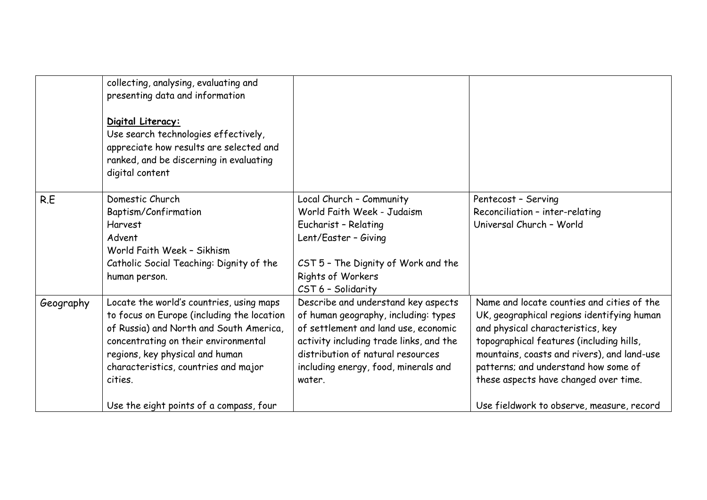|           | collecting, analysing, evaluating and<br>presenting data and information<br>Digital Literacy:<br>Use search technologies effectively,<br>appreciate how results are selected and<br>ranked, and be discerning in evaluating<br>digital content                                                             |                                                                                                                                                                                                                                                       |                                                                                                                                                                                                                                                                                                                                                        |
|-----------|------------------------------------------------------------------------------------------------------------------------------------------------------------------------------------------------------------------------------------------------------------------------------------------------------------|-------------------------------------------------------------------------------------------------------------------------------------------------------------------------------------------------------------------------------------------------------|--------------------------------------------------------------------------------------------------------------------------------------------------------------------------------------------------------------------------------------------------------------------------------------------------------------------------------------------------------|
| R.E       | Domestic Church<br>Baptism/Confirmation<br><b>Harvest</b><br>Advent<br>World Faith Week - Sikhism<br>Catholic Social Teaching: Dignity of the<br>human person.                                                                                                                                             | Local Church - Community<br>World Faith Week - Judaism<br>Eucharist - Relating<br>Lent/Easter - Giving<br>CST 5 - The Dignity of Work and the<br>Rights of Workers<br>CST 6 - Solidarity                                                              | Pentecost - Serving<br>Reconciliation - inter-relating<br>Universal Church - World                                                                                                                                                                                                                                                                     |
| Geography | Locate the world's countries, using maps<br>to focus on Europe (including the location<br>of Russia) and North and South America,<br>concentrating on their environmental<br>regions, key physical and human<br>characteristics, countries and major<br>cities.<br>Use the eight points of a compass, four | Describe and understand key aspects<br>of human geography, including: types<br>of settlement and land use, economic<br>activity including trade links, and the<br>distribution of natural resources<br>including energy, food, minerals and<br>water. | Name and locate counties and cities of the<br>UK, geographical regions identifying human<br>and physical characteristics, key<br>topographical features (including hills,<br>mountains, coasts and rivers), and land-use<br>patterns; and understand how some of<br>these aspects have changed over time.<br>Use fieldwork to observe, measure, record |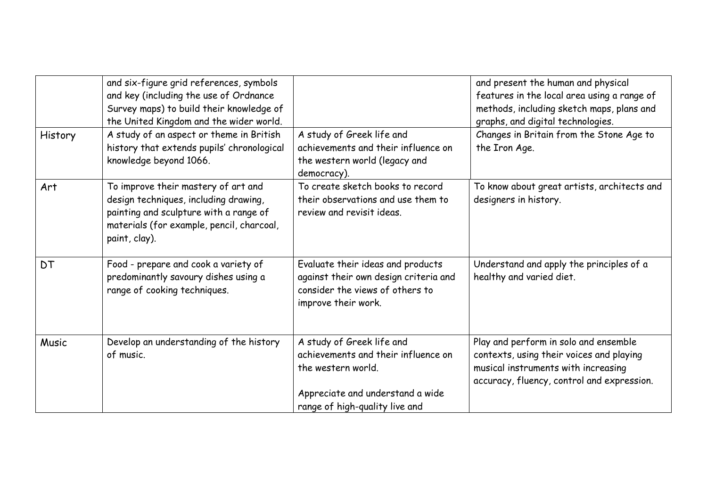| History   | and six-figure grid references, symbols<br>and key (including the use of Ordnance<br>Survey maps) to build their knowledge of<br>the United Kingdom and the wider world.<br>A study of an aspect or theme in British | A study of Greek life and                                                                                                                                    | and present the human and physical<br>features in the local area using a range of<br>methods, including sketch maps, plans and<br>graphs, and digital technologies.<br>Changes in Britain from the Stone Age to |
|-----------|----------------------------------------------------------------------------------------------------------------------------------------------------------------------------------------------------------------------|--------------------------------------------------------------------------------------------------------------------------------------------------------------|-----------------------------------------------------------------------------------------------------------------------------------------------------------------------------------------------------------------|
|           | history that extends pupils' chronological<br>knowledge beyond 1066.                                                                                                                                                 | achievements and their influence on<br>the western world (legacy and<br>democracy).                                                                          | the Iron Age.                                                                                                                                                                                                   |
| Art       | To improve their mastery of art and<br>design techniques, including drawing,<br>painting and sculpture with a range of<br>materials (for example, pencil, charcoal,<br>paint, clay).                                 | To create sketch books to record<br>their observations and use them to<br>review and revisit ideas.                                                          | To know about great artists, architects and<br>designers in history.                                                                                                                                            |
| <b>DT</b> | Food - prepare and cook a variety of<br>predominantly savoury dishes using a<br>range of cooking techniques.                                                                                                         | Evaluate their ideas and products<br>against their own design criteria and<br>consider the views of others to<br>improve their work.                         | Understand and apply the principles of a<br>healthy and varied diet.                                                                                                                                            |
| Music     | Develop an understanding of the history<br>of music.                                                                                                                                                                 | A study of Greek life and<br>achievements and their influence on<br>the western world.<br>Appreciate and understand a wide<br>range of high-quality live and | Play and perform in solo and ensemble<br>contexts, using their voices and playing<br>musical instruments with increasing<br>accuracy, fluency, control and expression.                                          |